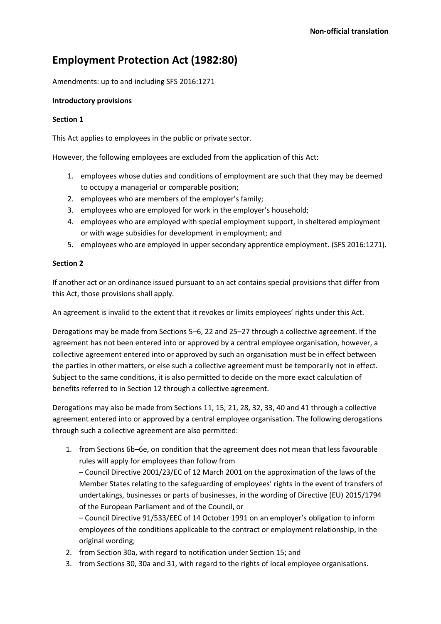# **Employment Protection Act (1982:80)**

Amendments: up to and including SFS 2016:1271

## **Introductory provisions**

## **Section 1**

This Act applies to employees in the public or private sector.

However, the following employees are excluded from the application of this Act:

- 1. employees whose duties and conditions of employment are such that they may be deemed to occupy a managerial or comparable position;
- 2. employees who are members of the employer's family;
- 3. employees who are employed for work in the employer's household;
- 4. employees who are employed with special employment support, in sheltered employment or with wage subsidies for development in employment; and
- 5. employees who are employed in upper secondary apprentice employment. (SFS 2016:1271).

## **Section 2**

If another act or an ordinance issued pursuant to an act contains special provisions that differ from this Act, those provisions shall apply.

An agreement is invalid to the extent that it revokes or limits employees' rights under this Act.

Derogations may be made from Sections 5–6, 22 and 25–27 through a collective agreement. If the agreement has not been entered into or approved by a central employee organisation, however, a collective agreement entered into or approved by such an organisation must be in effect between the parties in other matters, or else such a collective agreement must be temporarily not in effect. Subject to the same conditions, it is also permitted to decide on the more exact calculation of benefits referred to in Section 12 through a collective agreement.

Derogations may also be made from Sections 11, 15, 21, 28, 32, 33, 40 and 41 through a collective agreement entered into or approved by a central employee organisation. The following derogations through such a collective agreement are also permitted:

1. from Sections 6b–6e, on condition that the agreement does not mean that less favourable rules will apply for employees than follow from

– Council Directive 2001/23/EC of 12 March 2001 on the approximation of the laws of the Member States relating to the safeguarding of employees' rights in the event of transfers of undertakings, businesses or parts of businesses, in the wording of Directive (EU) 2015/1794 of the European Parliament and of the Council, or

– Council Directive 91/533/EEC of 14 October 1991 on an employer's obligation to inform employees of the conditions applicable to the contract or employment relationship, in the original wording;

- 2. from Section 30a, with regard to notification under Section 15; and
- 3. from Sections 30, 30a and 31, with regard to the rights of local employee organisations.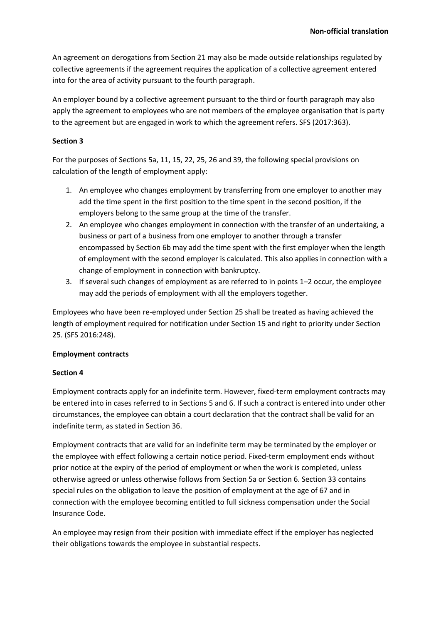An agreement on derogations from Section 21 may also be made outside relationships regulated by collective agreements if the agreement requires the application of a collective agreement entered into for the area of activity pursuant to the fourth paragraph.

An employer bound by a collective agreement pursuant to the third or fourth paragraph may also apply the agreement to employees who are not members of the employee organisation that is party to the agreement but are engaged in work to which the agreement refers. SFS (2017:363).

## **Section 3**

For the purposes of Sections 5a, 11, 15, 22, 25, 26 and 39, the following special provisions on calculation of the length of employment apply:

- 1. An employee who changes employment by transferring from one employer to another may add the time spent in the first position to the time spent in the second position, if the employers belong to the same group at the time of the transfer.
- 2. An employee who changes employment in connection with the transfer of an undertaking, a business or part of a business from one employer to another through a transfer encompassed by Section 6b may add the time spent with the first employer when the length of employment with the second employer is calculated. This also applies in connection with a change of employment in connection with bankruptcy.
- 3. If several such changes of employment as are referred to in points 1–2 occur, the employee may add the periods of employment with all the employers together.

Employees who have been re-employed under Section 25 shall be treated as having achieved the length of employment required for notification under Section 15 and right to priority under Section 25. (SFS 2016:248).

## **Employment contracts**

## **Section 4**

Employment contracts apply for an indefinite term. However, fixed-term employment contracts may be entered into in cases referred to in Sections 5 and 6. If such a contract is entered into under other circumstances, the employee can obtain a court declaration that the contract shall be valid for an indefinite term, as stated in Section 36.

Employment contracts that are valid for an indefinite term may be terminated by the employer or the employee with effect following a certain notice period. Fixed-term employment ends without prior notice at the expiry of the period of employment or when the work is completed, unless otherwise agreed or unless otherwise follows from Section 5a or Section 6. Section 33 contains special rules on the obligation to leave the position of employment at the age of 67 and in connection with the employee becoming entitled to full sickness compensation under the Social Insurance Code.

An employee may resign from their position with immediate effect if the employer has neglected their obligations towards the employee in substantial respects.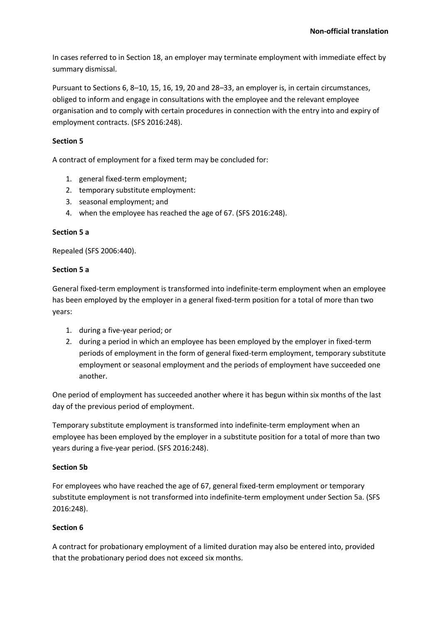In cases referred to in Section 18, an employer may terminate employment with immediate effect by summary dismissal.

Pursuant to Sections 6, 8–10, 15, 16, 19, 20 and 28–33, an employer is, in certain circumstances, obliged to inform and engage in consultations with the employee and the relevant employee organisation and to comply with certain procedures in connection with the entry into and expiry of employment contracts. (SFS 2016:248).

# **Section 5**

A contract of employment for a fixed term may be concluded for:

- 1. general fixed-term employment;
- 2. temporary substitute employment:
- 3. seasonal employment; and
- 4. when the employee has reached the age of 67. (SFS 2016:248).

# **Section 5 a**

Repealed (SFS 2006:440).

# **Section 5 a**

General fixed-term employment is transformed into indefinite-term employment when an employee has been employed by the employer in a general fixed-term position for a total of more than two years:

- 1. during a five-year period; or
- 2. during a period in which an employee has been employed by the employer in fixed-term periods of employment in the form of general fixed-term employment, temporary substitute employment or seasonal employment and the periods of employment have succeeded one another.

One period of employment has succeeded another where it has begun within six months of the last day of the previous period of employment.

Temporary substitute employment is transformed into indefinite-term employment when an employee has been employed by the employer in a substitute position for a total of more than two years during a five-year period. (SFS 2016:248).

# **Section 5b**

For employees who have reached the age of 67, general fixed-term employment or temporary substitute employment is not transformed into indefinite-term employment under Section 5a. (SFS 2016:248).

# **Section 6**

A contract for probationary employment of a limited duration may also be entered into, provided that the probationary period does not exceed six months.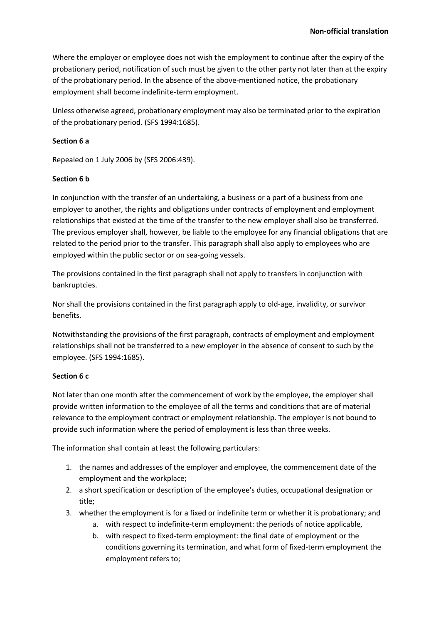Where the employer or employee does not wish the employment to continue after the expiry of the probationary period, notification of such must be given to the other party not later than at the expiry of the probationary period. In the absence of the above-mentioned notice, the probationary employment shall become indefinite-term employment.

Unless otherwise agreed, probationary employment may also be terminated prior to the expiration of the probationary period. (SFS 1994:1685).

## **Section 6 a**

Repealed on 1 July 2006 by (SFS 2006:439).

## **Section 6 b**

In conjunction with the transfer of an undertaking, a business or a part of a business from one employer to another, the rights and obligations under contracts of employment and employment relationships that existed at the time of the transfer to the new employer shall also be transferred. The previous employer shall, however, be liable to the employee for any financial obligations that are related to the period prior to the transfer. This paragraph shall also apply to employees who are employed within the public sector or on sea-going vessels.

The provisions contained in the first paragraph shall not apply to transfers in conjunction with bankruptcies.

Nor shall the provisions contained in the first paragraph apply to old-age, invalidity, or survivor benefits.

Notwithstanding the provisions of the first paragraph, contracts of employment and employment relationships shall not be transferred to a new employer in the absence of consent to such by the employee. (SFS 1994:1685).

# **Section 6 c**

Not later than one month after the commencement of work by the employee, the employer shall provide written information to the employee of all the terms and conditions that are of material relevance to the employment contract or employment relationship. The employer is not bound to provide such information where the period of employment is less than three weeks.

The information shall contain at least the following particulars:

- 1. the names and addresses of the employer and employee, the commencement date of the employment and the workplace;
- 2. a short specification or description of the employee's duties, occupational designation or title;
- 3. whether the employment is for a fixed or indefinite term or whether it is probationary; and
	- a. with respect to indefinite-term employment: the periods of notice applicable,
	- b. with respect to fixed-term employment: the final date of employment or the conditions governing its termination, and what form of fixed-term employment the employment refers to;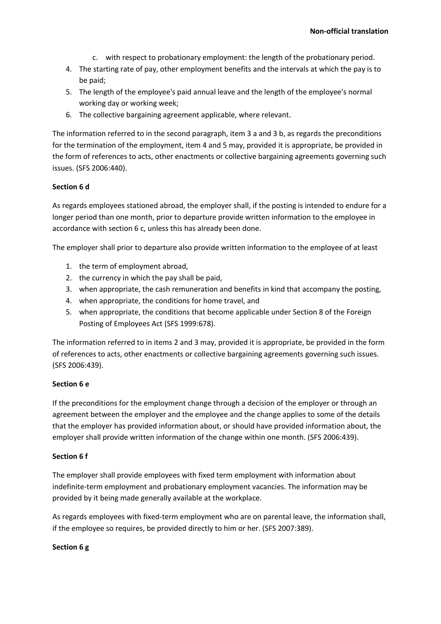- c. with respect to probationary employment: the length of the probationary period.
- 4. The starting rate of pay, other employment benefits and the intervals at which the pay is to be paid;
- 5. The length of the employee's paid annual leave and the length of the employee's normal working day or working week;
- 6. The collective bargaining agreement applicable, where relevant.

The information referred to in the second paragraph, item 3 a and 3 b, as regards the preconditions for the termination of the employment, item 4 and 5 may, provided it is appropriate, be provided in the form of references to acts, other enactments or collective bargaining agreements governing such issues. (SFS 2006:440).

## **Section 6 d**

As regards employees stationed abroad, the employer shall, if the posting is intended to endure for a longer period than one month, prior to departure provide written information to the employee in accordance with section 6 c, unless this has already been done.

The employer shall prior to departure also provide written information to the employee of at least

- 1. the term of employment abroad,
- 2. the currency in which the pay shall be paid,
- 3. when appropriate, the cash remuneration and benefits in kind that accompany the posting,
- 4. when appropriate, the conditions for home travel, and
- 5. when appropriate, the conditions that become applicable under Section 8 of the Foreign Posting of Employees Act (SFS 1999:678).

The information referred to in items 2 and 3 may, provided it is appropriate, be provided in the form of references to acts, other enactments or collective bargaining agreements governing such issues. (SFS 2006:439).

## **Section 6 e**

If the preconditions for the employment change through a decision of the employer or through an agreement between the employer and the employee and the change applies to some of the details that the employer has provided information about, or should have provided information about, the employer shall provide written information of the change within one month. (SFS 2006:439).

## **Section 6 f**

The employer shall provide employees with fixed term employment with information about indefinite-term employment and probationary employment vacancies. The information may be provided by it being made generally available at the workplace.

As regards employees with fixed-term employment who are on parental leave, the information shall, if the employee so requires, be provided directly to him or her. (SFS 2007:389).

## **Section 6 g**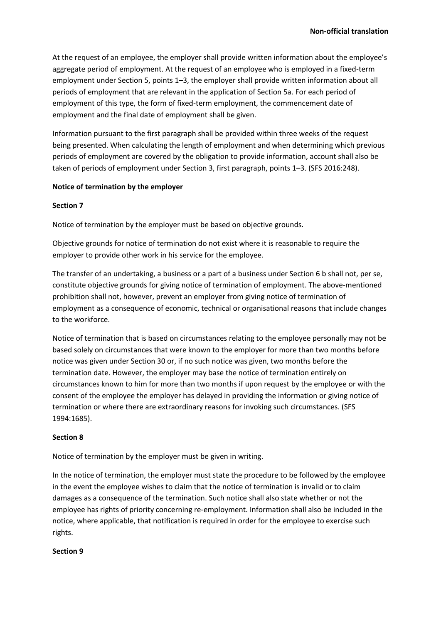At the request of an employee, the employer shall provide written information about the employee's aggregate period of employment. At the request of an employee who is employed in a fixed-term employment under Section 5, points 1–3, the employer shall provide written information about all periods of employment that are relevant in the application of Section 5a. For each period of employment of this type, the form of fixed-term employment, the commencement date of employment and the final date of employment shall be given.

Information pursuant to the first paragraph shall be provided within three weeks of the request being presented. When calculating the length of employment and when determining which previous periods of employment are covered by the obligation to provide information, account shall also be taken of periods of employment under Section 3, first paragraph, points 1–3. (SFS 2016:248).

## **Notice of termination by the employer**

## **Section 7**

Notice of termination by the employer must be based on objective grounds.

Objective grounds for notice of termination do not exist where it is reasonable to require the employer to provide other work in his service for the employee.

The transfer of an undertaking, a business or a part of a business under Section 6 b shall not, per se, constitute objective grounds for giving notice of termination of employment. The above-mentioned prohibition shall not, however, prevent an employer from giving notice of termination of employment as a consequence of economic, technical or organisational reasons that include changes to the workforce.

Notice of termination that is based on circumstances relating to the employee personally may not be based solely on circumstances that were known to the employer for more than two months before notice was given under Section 30 or, if no such notice was given, two months before the termination date. However, the employer may base the notice of termination entirely on circumstances known to him for more than two months if upon request by the employee or with the consent of the employee the employer has delayed in providing the information or giving notice of termination or where there are extraordinary reasons for invoking such circumstances. (SFS 1994:1685).

## **Section 8**

Notice of termination by the employer must be given in writing.

In the notice of termination, the employer must state the procedure to be followed by the employee in the event the employee wishes to claim that the notice of termination is invalid or to claim damages as a consequence of the termination. Such notice shall also state whether or not the employee has rights of priority concerning re-employment. Information shall also be included in the notice, where applicable, that notification is required in order for the employee to exercise such rights.

## **Section 9**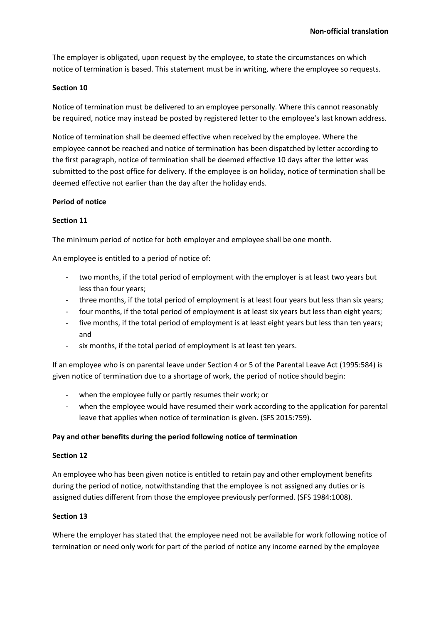The employer is obligated, upon request by the employee, to state the circumstances on which notice of termination is based. This statement must be in writing, where the employee so requests.

## **Section 10**

Notice of termination must be delivered to an employee personally. Where this cannot reasonably be required, notice may instead be posted by registered letter to the employee's last known address.

Notice of termination shall be deemed effective when received by the employee. Where the employee cannot be reached and notice of termination has been dispatched by letter according to the first paragraph, notice of termination shall be deemed effective 10 days after the letter was submitted to the post office for delivery. If the employee is on holiday, notice of termination shall be deemed effective not earlier than the day after the holiday ends.

## **Period of notice**

## **Section 11**

The minimum period of notice for both employer and employee shall be one month.

An employee is entitled to a period of notice of:

- two months, if the total period of employment with the employer is at least two years but less than four years;
- three months, if the total period of employment is at least four years but less than six years;
- four months, if the total period of employment is at least six years but less than eight years;
- five months, if the total period of employment is at least eight years but less than ten years; and
- six months, if the total period of employment is at least ten years.

If an employee who is on parental leave under Section 4 or 5 of the Parental Leave Act (1995:584) is given notice of termination due to a shortage of work, the period of notice should begin:

- when the employee fully or partly resumes their work; or
- when the employee would have resumed their work according to the application for parental leave that applies when notice of termination is given. (SFS 2015:759).

## **Pay and other benefits during the period following notice of termination**

## **Section 12**

An employee who has been given notice is entitled to retain pay and other employment benefits during the period of notice, notwithstanding that the employee is not assigned any duties or is assigned duties different from those the employee previously performed. (SFS 1984:1008).

## **Section 13**

Where the employer has stated that the employee need not be available for work following notice of termination or need only work for part of the period of notice any income earned by the employee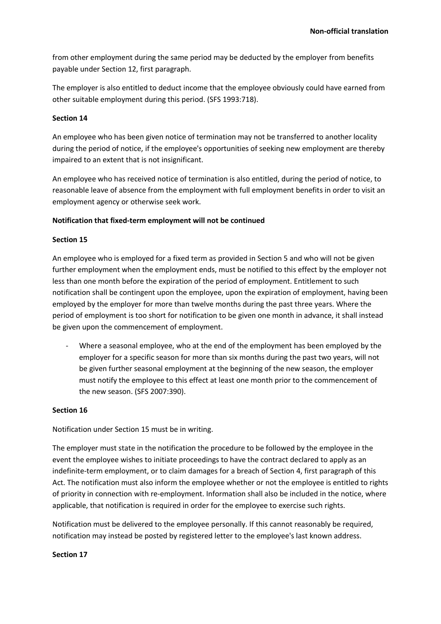from other employment during the same period may be deducted by the employer from benefits payable under Section 12, first paragraph.

The employer is also entitled to deduct income that the employee obviously could have earned from other suitable employment during this period. (SFS 1993:718).

## **Section 14**

An employee who has been given notice of termination may not be transferred to another locality during the period of notice, if the employee's opportunities of seeking new employment are thereby impaired to an extent that is not insignificant.

An employee who has received notice of termination is also entitled, during the period of notice, to reasonable leave of absence from the employment with full employment benefits in order to visit an employment agency or otherwise seek work.

## **Notification that fixed-term employment will not be continued**

## **Section 15**

An employee who is employed for a fixed term as provided in Section 5 and who will not be given further employment when the employment ends, must be notified to this effect by the employer not less than one month before the expiration of the period of employment. Entitlement to such notification shall be contingent upon the employee, upon the expiration of employment, having been employed by the employer for more than twelve months during the past three years. Where the period of employment is too short for notification to be given one month in advance, it shall instead be given upon the commencement of employment.

Where a seasonal employee, who at the end of the employment has been employed by the employer for a specific season for more than six months during the past two years, will not be given further seasonal employment at the beginning of the new season, the employer must notify the employee to this effect at least one month prior to the commencement of the new season. (SFS 2007:390).

## **Section 16**

Notification under Section 15 must be in writing.

The employer must state in the notification the procedure to be followed by the employee in the event the employee wishes to initiate proceedings to have the contract declared to apply as an indefinite-term employment, or to claim damages for a breach of Section 4, first paragraph of this Act. The notification must also inform the employee whether or not the employee is entitled to rights of priority in connection with re-employment. Information shall also be included in the notice, where applicable, that notification is required in order for the employee to exercise such rights.

Notification must be delivered to the employee personally. If this cannot reasonably be required, notification may instead be posted by registered letter to the employee's last known address.

# **Section 17**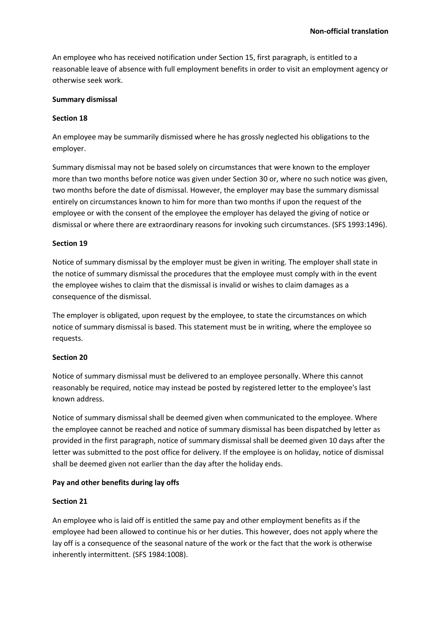An employee who has received notification under Section 15, first paragraph, is entitled to a reasonable leave of absence with full employment benefits in order to visit an employment agency or otherwise seek work.

## **Summary dismissal**

## **Section 18**

An employee may be summarily dismissed where he has grossly neglected his obligations to the employer.

Summary dismissal may not be based solely on circumstances that were known to the employer more than two months before notice was given under Section 30 or, where no such notice was given, two months before the date of dismissal. However, the employer may base the summary dismissal entirely on circumstances known to him for more than two months if upon the request of the employee or with the consent of the employee the employer has delayed the giving of notice or dismissal or where there are extraordinary reasons for invoking such circumstances. (SFS 1993:1496).

## **Section 19**

Notice of summary dismissal by the employer must be given in writing. The employer shall state in the notice of summary dismissal the procedures that the employee must comply with in the event the employee wishes to claim that the dismissal is invalid or wishes to claim damages as a consequence of the dismissal.

The employer is obligated, upon request by the employee, to state the circumstances on which notice of summary dismissal is based. This statement must be in writing, where the employee so requests.

## **Section 20**

Notice of summary dismissal must be delivered to an employee personally. Where this cannot reasonably be required, notice may instead be posted by registered letter to the employee's last known address.

Notice of summary dismissal shall be deemed given when communicated to the employee. Where the employee cannot be reached and notice of summary dismissal has been dispatched by letter as provided in the first paragraph, notice of summary dismissal shall be deemed given 10 days after the letter was submitted to the post office for delivery. If the employee is on holiday, notice of dismissal shall be deemed given not earlier than the day after the holiday ends.

# **Pay and other benefits during lay offs**

## **Section 21**

An employee who is laid off is entitled the same pay and other employment benefits as if the employee had been allowed to continue his or her duties. This however, does not apply where the lay off is a consequence of the seasonal nature of the work or the fact that the work is otherwise inherently intermittent. (SFS 1984:1008).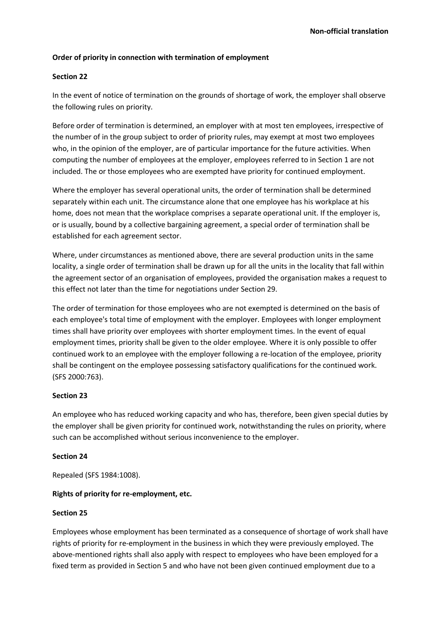## **Order of priority in connection with termination of employment**

## **Section 22**

In the event of notice of termination on the grounds of shortage of work, the employer shall observe the following rules on priority.

Before order of termination is determined, an employer with at most ten employees, irrespective of the number of in the group subject to order of priority rules, may exempt at most two employees who, in the opinion of the employer, are of particular importance for the future activities. When computing the number of employees at the employer, employees referred to in Section 1 are not included. The or those employees who are exempted have priority for continued employment.

Where the employer has several operational units, the order of termination shall be determined separately within each unit. The circumstance alone that one employee has his workplace at his home, does not mean that the workplace comprises a separate operational unit. If the employer is, or is usually, bound by a collective bargaining agreement, a special order of termination shall be established for each agreement sector.

Where, under circumstances as mentioned above, there are several production units in the same locality, a single order of termination shall be drawn up for all the units in the locality that fall within the agreement sector of an organisation of employees, provided the organisation makes a request to this effect not later than the time for negotiations under Section 29.

The order of termination for those employees who are not exempted is determined on the basis of each employee's total time of employment with the employer. Employees with longer employment times shall have priority over employees with shorter employment times. In the event of equal employment times, priority shall be given to the older employee. Where it is only possible to offer continued work to an employee with the employer following a re-location of the employee, priority shall be contingent on the employee possessing satisfactory qualifications for the continued work. (SFS 2000:763).

## **Section 23**

An employee who has reduced working capacity and who has, therefore, been given special duties by the employer shall be given priority for continued work, notwithstanding the rules on priority, where such can be accomplished without serious inconvenience to the employer.

## **Section 24**

Repealed (SFS 1984:1008).

## **Rights of priority for re-employment, etc.**

## **Section 25**

Employees whose employment has been terminated as a consequence of shortage of work shall have rights of priority for re-employment in the business in which they were previously employed. The above-mentioned rights shall also apply with respect to employees who have been employed for a fixed term as provided in Section 5 and who have not been given continued employment due to a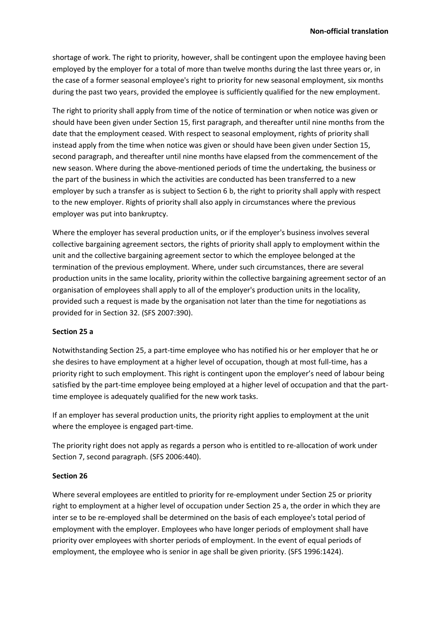shortage of work. The right to priority, however, shall be contingent upon the employee having been employed by the employer for a total of more than twelve months during the last three years or, in the case of a former seasonal employee's right to priority for new seasonal employment, six months during the past two years, provided the employee is sufficiently qualified for the new employment.

The right to priority shall apply from time of the notice of termination or when notice was given or should have been given under Section 15, first paragraph, and thereafter until nine months from the date that the employment ceased. With respect to seasonal employment, rights of priority shall instead apply from the time when notice was given or should have been given under Section 15, second paragraph, and thereafter until nine months have elapsed from the commencement of the new season. Where during the above-mentioned periods of time the undertaking, the business or the part of the business in which the activities are conducted has been transferred to a new employer by such a transfer as is subject to Section 6 b, the right to priority shall apply with respect to the new employer. Rights of priority shall also apply in circumstances where the previous employer was put into bankruptcy.

Where the employer has several production units, or if the employer's business involves several collective bargaining agreement sectors, the rights of priority shall apply to employment within the unit and the collective bargaining agreement sector to which the employee belonged at the termination of the previous employment. Where, under such circumstances, there are several production units in the same locality, priority within the collective bargaining agreement sector of an organisation of employees shall apply to all of the employer's production units in the locality, provided such a request is made by the organisation not later than the time for negotiations as provided for in Section 32. (SFS 2007:390).

# **Section 25 a**

Notwithstanding Section 25, a part-time employee who has notified his or her employer that he or she desires to have employment at a higher level of occupation, though at most full-time, has a priority right to such employment. This right is contingent upon the employer's need of labour being satisfied by the part-time employee being employed at a higher level of occupation and that the parttime employee is adequately qualified for the new work tasks.

If an employer has several production units, the priority right applies to employment at the unit where the employee is engaged part-time.

The priority right does not apply as regards a person who is entitled to re-allocation of work under Section 7, second paragraph. (SFS 2006:440).

## **Section 26**

Where several employees are entitled to priority for re-employment under Section 25 or priority right to employment at a higher level of occupation under Section 25 a, the order in which they are inter se to be re-employed shall be determined on the basis of each employee's total period of employment with the employer. Employees who have longer periods of employment shall have priority over employees with shorter periods of employment. In the event of equal periods of employment, the employee who is senior in age shall be given priority. (SFS 1996:1424).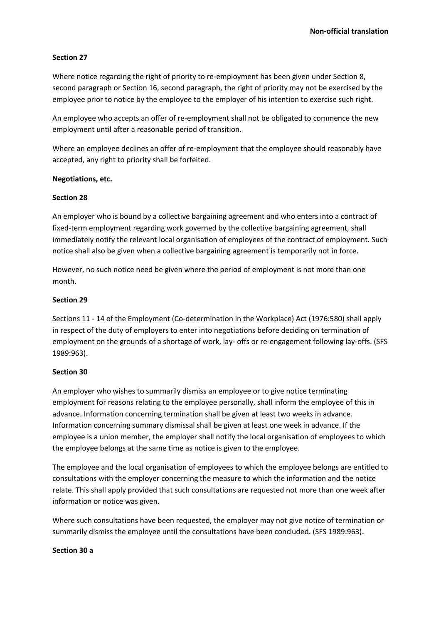## **Section 27**

Where notice regarding the right of priority to re-employment has been given under Section 8, second paragraph or Section 16, second paragraph, the right of priority may not be exercised by the employee prior to notice by the employee to the employer of his intention to exercise such right.

An employee who accepts an offer of re-employment shall not be obligated to commence the new employment until after a reasonable period of transition.

Where an employee declines an offer of re-employment that the employee should reasonably have accepted, any right to priority shall be forfeited.

## **Negotiations, etc.**

## **Section 28**

An employer who is bound by a collective bargaining agreement and who enters into a contract of fixed-term employment regarding work governed by the collective bargaining agreement, shall immediately notify the relevant local organisation of employees of the contract of employment. Such notice shall also be given when a collective bargaining agreement is temporarily not in force.

However, no such notice need be given where the period of employment is not more than one month.

## **Section 29**

Sections 11 - 14 of the Employment (Co-determination in the Workplace) Act (1976:580) shall apply in respect of the duty of employers to enter into negotiations before deciding on termination of employment on the grounds of a shortage of work, lay- offs or re-engagement following lay-offs. (SFS 1989:963).

# **Section 30**

An employer who wishes to summarily dismiss an employee or to give notice terminating employment for reasons relating to the employee personally, shall inform the employee of this in advance. Information concerning termination shall be given at least two weeks in advance. Information concerning summary dismissal shall be given at least one week in advance. If the employee is a union member, the employer shall notify the local organisation of employees to which the employee belongs at the same time as notice is given to the employee.

The employee and the local organisation of employees to which the employee belongs are entitled to consultations with the employer concerning the measure to which the information and the notice relate. This shall apply provided that such consultations are requested not more than one week after information or notice was given.

Where such consultations have been requested, the employer may not give notice of termination or summarily dismiss the employee until the consultations have been concluded. (SFS 1989:963).

## **Section 30 a**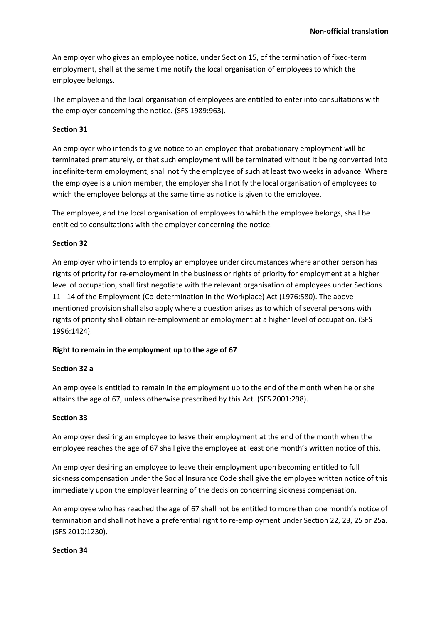An employer who gives an employee notice, under Section 15, of the termination of fixed-term employment, shall at the same time notify the local organisation of employees to which the employee belongs.

The employee and the local organisation of employees are entitled to enter into consultations with the employer concerning the notice. (SFS 1989:963).

## **Section 31**

An employer who intends to give notice to an employee that probationary employment will be terminated prematurely, or that such employment will be terminated without it being converted into indefinite-term employment, shall notify the employee of such at least two weeks in advance. Where the employee is a union member, the employer shall notify the local organisation of employees to which the employee belongs at the same time as notice is given to the employee.

The employee, and the local organisation of employees to which the employee belongs, shall be entitled to consultations with the employer concerning the notice.

## **Section 32**

An employer who intends to employ an employee under circumstances where another person has rights of priority for re-employment in the business or rights of priority for employment at a higher level of occupation, shall first negotiate with the relevant organisation of employees under Sections 11 - 14 of the Employment (Co-determination in the Workplace) Act (1976:580). The abovementioned provision shall also apply where a question arises as to which of several persons with rights of priority shall obtain re-employment or employment at a higher level of occupation. (SFS 1996:1424).

## **Right to remain in the employment up to the age of 67**

## **Section 32 a**

An employee is entitled to remain in the employment up to the end of the month when he or she attains the age of 67, unless otherwise prescribed by this Act. (SFS 2001:298).

## **Section 33**

An employer desiring an employee to leave their employment at the end of the month when the employee reaches the age of 67 shall give the employee at least one month's written notice of this.

An employer desiring an employee to leave their employment upon becoming entitled to full sickness compensation under the Social Insurance Code shall give the employee written notice of this immediately upon the employer learning of the decision concerning sickness compensation.

An employee who has reached the age of 67 shall not be entitled to more than one month's notice of termination and shall not have a preferential right to re-employment under Section 22, 23, 25 or 25a. (SFS 2010:1230).

## **Section 34**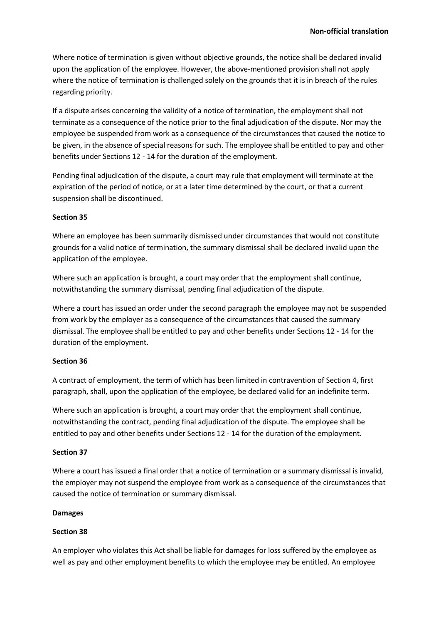Where notice of termination is given without objective grounds, the notice shall be declared invalid upon the application of the employee. However, the above-mentioned provision shall not apply where the notice of termination is challenged solely on the grounds that it is in breach of the rules regarding priority.

If a dispute arises concerning the validity of a notice of termination, the employment shall not terminate as a consequence of the notice prior to the final adjudication of the dispute. Nor may the employee be suspended from work as a consequence of the circumstances that caused the notice to be given, in the absence of special reasons for such. The employee shall be entitled to pay and other benefits under Sections 12 - 14 for the duration of the employment.

Pending final adjudication of the dispute, a court may rule that employment will terminate at the expiration of the period of notice, or at a later time determined by the court, or that a current suspension shall be discontinued.

## **Section 35**

Where an employee has been summarily dismissed under circumstances that would not constitute grounds for a valid notice of termination, the summary dismissal shall be declared invalid upon the application of the employee.

Where such an application is brought, a court may order that the employment shall continue, notwithstanding the summary dismissal, pending final adjudication of the dispute.

Where a court has issued an order under the second paragraph the employee may not be suspended from work by the employer as a consequence of the circumstances that caused the summary dismissal. The employee shall be entitled to pay and other benefits under Sections 12 - 14 for the duration of the employment.

# **Section 36**

A contract of employment, the term of which has been limited in contravention of Section 4, first paragraph, shall, upon the application of the employee, be declared valid for an indefinite term.

Where such an application is brought, a court may order that the employment shall continue, notwithstanding the contract, pending final adjudication of the dispute. The employee shall be entitled to pay and other benefits under Sections 12 - 14 for the duration of the employment.

## **Section 37**

Where a court has issued a final order that a notice of termination or a summary dismissal is invalid, the employer may not suspend the employee from work as a consequence of the circumstances that caused the notice of termination or summary dismissal.

## **Damages**

# **Section 38**

An employer who violates this Act shall be liable for damages for loss suffered by the employee as well as pay and other employment benefits to which the employee may be entitled. An employee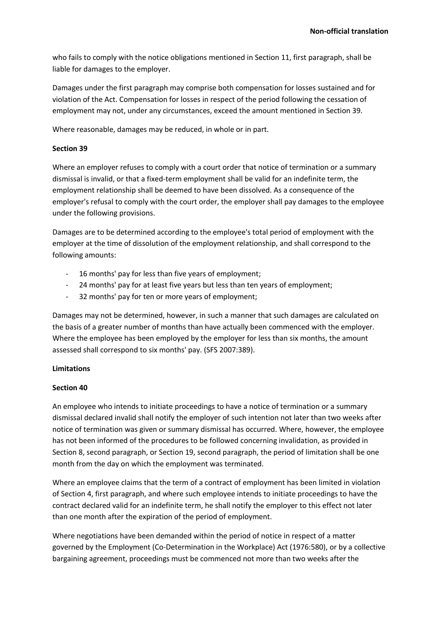who fails to comply with the notice obligations mentioned in Section 11, first paragraph, shall be liable for damages to the employer.

Damages under the first paragraph may comprise both compensation for losses sustained and for violation of the Act. Compensation for losses in respect of the period following the cessation of employment may not, under any circumstances, exceed the amount mentioned in Section 39.

Where reasonable, damages may be reduced, in whole or in part.

## **Section 39**

Where an employer refuses to comply with a court order that notice of termination or a summary dismissal is invalid, or that a fixed-term employment shall be valid for an indefinite term, the employment relationship shall be deemed to have been dissolved. As a consequence of the employer's refusal to comply with the court order, the employer shall pay damages to the employee under the following provisions.

Damages are to be determined according to the employee's total period of employment with the employer at the time of dissolution of the employment relationship, and shall correspond to the following amounts:

- 16 months' pay for less than five years of employment;
- 24 months' pay for at least five years but less than ten years of employment;
- 32 months' pay for ten or more years of employment;

Damages may not be determined, however, in such a manner that such damages are calculated on the basis of a greater number of months than have actually been commenced with the employer. Where the employee has been employed by the employer for less than six months, the amount assessed shall correspond to six months' pay. (SFS 2007:389).

## **Limitations**

## **Section 40**

An employee who intends to initiate proceedings to have a notice of termination or a summary dismissal declared invalid shall notify the employer of such intention not later than two weeks after notice of termination was given or summary dismissal has occurred. Where, however, the employee has not been informed of the procedures to be followed concerning invalidation, as provided in Section 8, second paragraph, or Section 19, second paragraph, the period of limitation shall be one month from the day on which the employment was terminated.

Where an employee claims that the term of a contract of employment has been limited in violation of Section 4, first paragraph, and where such employee intends to initiate proceedings to have the contract declared valid for an indefinite term, he shall notify the employer to this effect not later than one month after the expiration of the period of employment.

Where negotiations have been demanded within the period of notice in respect of a matter governed by the Employment (Co-Determination in the Workplace) Act (1976:580), or by a collective bargaining agreement, proceedings must be commenced not more than two weeks after the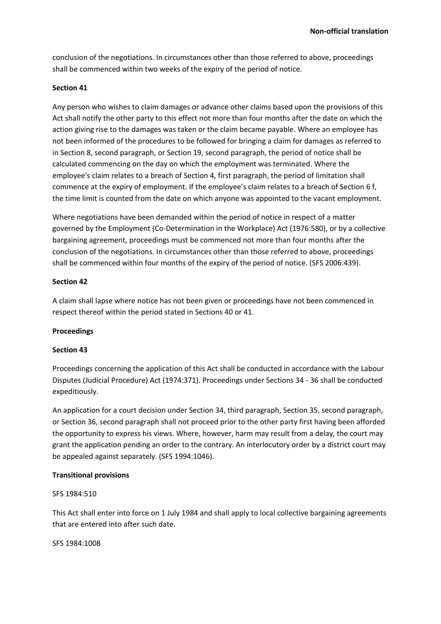conclusion of the negotiations. In circumstances other than those referred to above, proceedings shall be commenced within two weeks of the expiry of the period of notice.

#### **Section 41**

Any person who wishes to claim damages or advance other claims based upon the provisions of this Act shall notify the other party to this effect not more than four months after the date on which the action giving rise to the damages was taken or the claim became payable. Where an employee has not been informed of the procedures to be followed for bringing a claim for damages as referred to in Section 8, second paragraph, or Section 19, second paragraph, the period of notice shall be calculated commencing on the day on which the employment was terminated. Where the employee's claim relates to a breach of Section 4, first paragraph, the period of limitation shall commence at the expiry of employment. If the employee's claim relates to a breach of Section 6 f, the time limit is counted from the date on which anyone was appointed to the vacant employment.

Where negotiations have been demanded within the period of notice in respect of a matter governed by the Employment (Co-Determination in the Workplace) Act (1976:580), or by a collective bargaining agreement, proceedings must be commenced not more than four months after the conclusion of the negotiations. In circumstances other than those referred to above, proceedings shall be commenced within four months of the expiry of the period of notice. (SFS 2006:439).

#### **Section 42**

A claim shall lapse where notice has not been given or proceedings have not been commenced in respect thereof within the period stated in Sections 40 or 41.

## **Proceedings**

#### **Section 43**

Proceedings concerning the application of this Act shall be conducted in accordance with the Labour Disputes (Judicial Procedure) Act (1974:371). Proceedings under Sections 34 - 36 shall be conducted expeditiously.

An application for a court decision under Section 34, third paragraph, Section 35, second paragraph, or Section 36, second paragraph shall not proceed prior to the other party first having been afforded the opportunity to express his views. Where, however, harm may result from a delay, the court may grant the application pending an order to the contrary. An interlocutory order by a district court may be appealed against separately. (SFS 1994:1046).

#### **Transitional provisions**

#### SFS 1984:510

This Act shall enter into force on 1 July 1984 and shall apply to local collective bargaining agreements that are entered into after such date.

#### SFS 1984:1008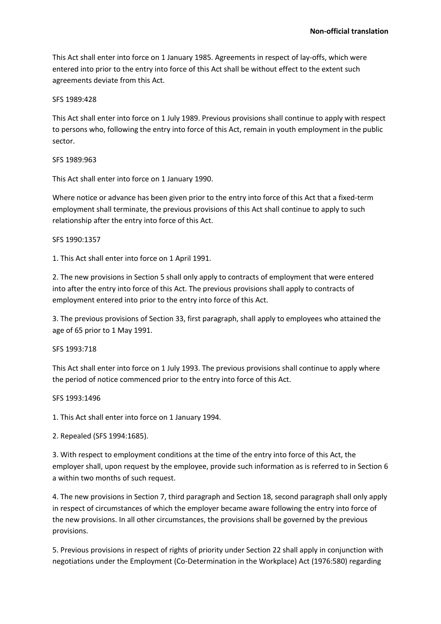This Act shall enter into force on 1 January 1985. Agreements in respect of lay-offs, which were entered into prior to the entry into force of this Act shall be without effect to the extent such agreements deviate from this Act.

## SFS 1989:428

This Act shall enter into force on 1 July 1989. Previous provisions shall continue to apply with respect to persons who, following the entry into force of this Act, remain in youth employment in the public sector.

## SFS 1989:963

This Act shall enter into force on 1 January 1990.

Where notice or advance has been given prior to the entry into force of this Act that a fixed-term employment shall terminate, the previous provisions of this Act shall continue to apply to such relationship after the entry into force of this Act.

## SFS 1990:1357

1. This Act shall enter into force on 1 April 1991.

2. The new provisions in Section 5 shall only apply to contracts of employment that were entered into after the entry into force of this Act. The previous provisions shall apply to contracts of employment entered into prior to the entry into force of this Act.

3. The previous provisions of Section 33, first paragraph, shall apply to employees who attained the age of 65 prior to 1 May 1991.

## SFS 1993:718

This Act shall enter into force on 1 July 1993. The previous provisions shall continue to apply where the period of notice commenced prior to the entry into force of this Act.

# SFS 1993:1496

1. This Act shall enter into force on 1 January 1994.

2. Repealed (SFS 1994:1685).

3. With respect to employment conditions at the time of the entry into force of this Act, the employer shall, upon request by the employee, provide such information as is referred to in Section 6 a within two months of such request.

4. The new provisions in Section 7, third paragraph and Section 18, second paragraph shall only apply in respect of circumstances of which the employer became aware following the entry into force of the new provisions. In all other circumstances, the provisions shall be governed by the previous provisions.

5. Previous provisions in respect of rights of priority under Section 22 shall apply in conjunction with negotiations under the Employment (Co-Determination in the Workplace) Act (1976:580) regarding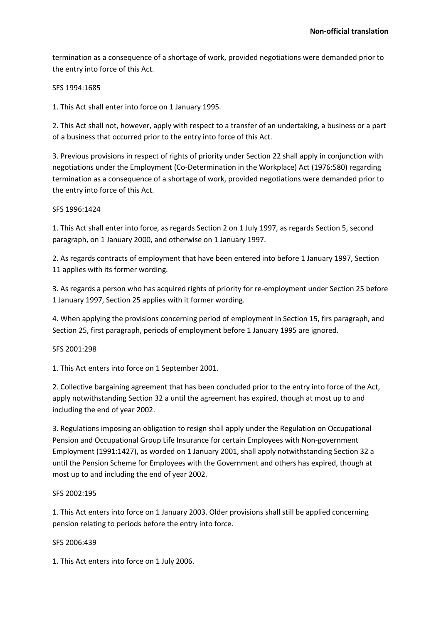termination as a consequence of a shortage of work, provided negotiations were demanded prior to the entry into force of this Act.

## SFS 1994:1685

1. This Act shall enter into force on 1 January 1995.

2. This Act shall not, however, apply with respect to a transfer of an undertaking, a business or a part of a business that occurred prior to the entry into force of this Act.

3. Previous provisions in respect of rights of priority under Section 22 shall apply in conjunction with negotiations under the Employment (Co-Determination in the Workplace) Act (1976:580) regarding termination as a consequence of a shortage of work, provided negotiations were demanded prior to the entry into force of this Act.

# SFS 1996:1424

1. This Act shall enter into force, as regards Section 2 on 1 July 1997, as regards Section 5, second paragraph, on 1 January 2000, and otherwise on 1 January 1997.

2. As regards contracts of employment that have been entered into before 1 January 1997, Section 11 applies with its former wording.

3. As regards a person who has acquired rights of priority for re-employment under Section 25 before 1 January 1997, Section 25 applies with it former wording.

4. When applying the provisions concerning period of employment in Section 15, firs paragraph, and Section 25, first paragraph, periods of employment before 1 January 1995 are ignored.

## SFS 2001:298

1. This Act enters into force on 1 September 2001.

2. Collective bargaining agreement that has been concluded prior to the entry into force of the Act, apply notwithstanding Section 32 a until the agreement has expired, though at most up to and including the end of year 2002.

3. Regulations imposing an obligation to resign shall apply under the Regulation on Occupational Pension and Occupational Group Life Insurance for certain Employees with Non-government Employment (1991:1427), as worded on 1 January 2001, shall apply notwithstanding Section 32 a until the Pension Scheme for Employees with the Government and others has expired, though at most up to and including the end of year 2002.

## SFS 2002:195

1. This Act enters into force on 1 January 2003. Older provisions shall still be applied concerning pension relating to periods before the entry into force.

## SFS 2006:439

1. This Act enters into force on 1 July 2006.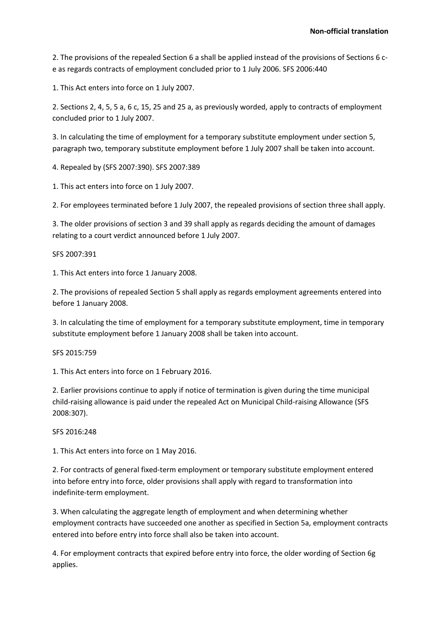2. The provisions of the repealed Section 6 a shall be applied instead of the provisions of Sections 6 ce as regards contracts of employment concluded prior to 1 July 2006. SFS 2006:440

1. This Act enters into force on 1 July 2007.

2. Sections 2, 4, 5, 5 a, 6 c, 15, 25 and 25 a, as previously worded, apply to contracts of employment concluded prior to 1 July 2007.

3. In calculating the time of employment for a temporary substitute employment under section 5, paragraph two, temporary substitute employment before 1 July 2007 shall be taken into account.

4. Repealed by (SFS 2007:390). SFS 2007:389

1. This act enters into force on 1 July 2007.

2. For employees terminated before 1 July 2007, the repealed provisions of section three shall apply.

3. The older provisions of section 3 and 39 shall apply as regards deciding the amount of damages relating to a court verdict announced before 1 July 2007.

## SFS 2007:391

1. This Act enters into force 1 January 2008.

2. The provisions of repealed Section 5 shall apply as regards employment agreements entered into before 1 January 2008.

3. In calculating the time of employment for a temporary substitute employment, time in temporary substitute employment before 1 January 2008 shall be taken into account.

SFS 2015:759

1. This Act enters into force on 1 February 2016.

2. Earlier provisions continue to apply if notice of termination is given during the time municipal child-raising allowance is paid under the repealed Act on Municipal Child-raising Allowance (SFS 2008:307).

SFS 2016:248

1. This Act enters into force on 1 May 2016.

2. For contracts of general fixed-term employment or temporary substitute employment entered into before entry into force, older provisions shall apply with regard to transformation into indefinite-term employment.

3. When calculating the aggregate length of employment and when determining whether employment contracts have succeeded one another as specified in Section 5a, employment contracts entered into before entry into force shall also be taken into account.

4. For employment contracts that expired before entry into force, the older wording of Section 6g applies.